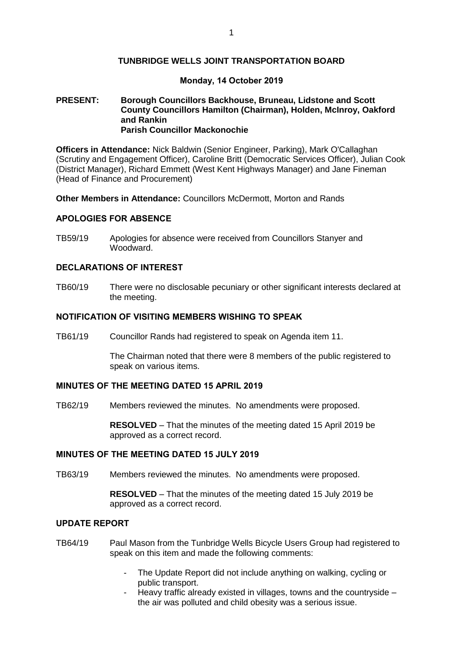## **TUNBRIDGE WELLS JOINT TRANSPORTATION BOARD**

#### **Monday, 14 October 2019**

#### **PRESENT: Borough Councillors Backhouse, Bruneau, Lidstone and Scott County Councillors Hamilton (Chairman), Holden, McInroy, Oakford and Rankin Parish Councillor Mackonochie**

**Officers in Attendance:** Nick Baldwin (Senior Engineer, Parking), Mark O'Callaghan (Scrutiny and Engagement Officer), Caroline Britt (Democratic Services Officer), Julian Cook (District Manager), Richard Emmett (West Kent Highways Manager) and Jane Fineman (Head of Finance and Procurement)

**Other Members in Attendance:** Councillors McDermott, Morton and Rands

## **APOLOGIES FOR ABSENCE**

TB59/19 Apologies for absence were received from Councillors Stanyer and Woodward.

## **DECLARATIONS OF INTEREST**

TB60/19 There were no disclosable pecuniary or other significant interests declared at the meeting.

## **NOTIFICATION OF VISITING MEMBERS WISHING TO SPEAK**

TB61/19 Councillor Rands had registered to speak on Agenda item 11.

The Chairman noted that there were 8 members of the public registered to speak on various items.

## **MINUTES OF THE MEETING DATED 15 APRIL 2019**

TB62/19 Members reviewed the minutes. No amendments were proposed.

**RESOLVED** – That the minutes of the meeting dated 15 April 2019 be approved as a correct record.

#### **MINUTES OF THE MEETING DATED 15 JULY 2019**

TB63/19 Members reviewed the minutes. No amendments were proposed.

**RESOLVED** – That the minutes of the meeting dated 15 July 2019 be approved as a correct record.

## **UPDATE REPORT**

- TB64/19 Paul Mason from the Tunbridge Wells Bicycle Users Group had registered to speak on this item and made the following comments:
	- The Update Report did not include anything on walking, cycling or public transport.
	- Heavy traffic already existed in villages, towns and the countryside the air was polluted and child obesity was a serious issue.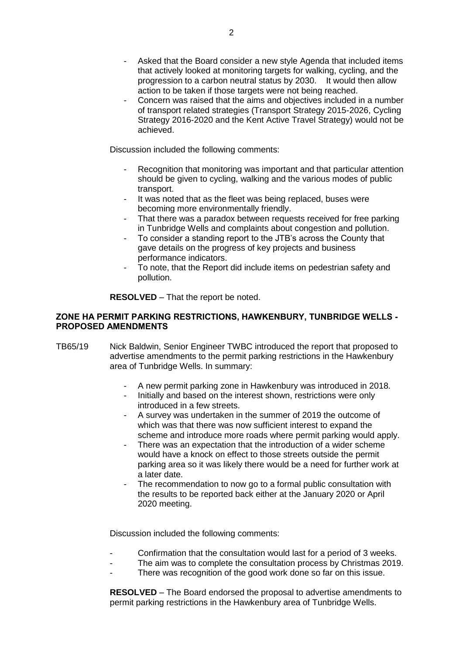- Asked that the Board consider a new style Agenda that included items that actively looked at monitoring targets for walking, cycling, and the progression to a carbon neutral status by 2030. It would then allow action to be taken if those targets were not being reached.
- Concern was raised that the aims and objectives included in a number of transport related strategies (Transport Strategy 2015-2026, Cycling Strategy 2016-2020 and the Kent Active Travel Strategy) would not be achieved.

Discussion included the following comments:

- Recognition that monitoring was important and that particular attention should be given to cycling, walking and the various modes of public transport.
- It was noted that as the fleet was being replaced, buses were becoming more environmentally friendly.
- That there was a paradox between requests received for free parking in Tunbridge Wells and complaints about congestion and pollution.
- To consider a standing report to the JTB's across the County that gave details on the progress of key projects and business performance indicators.
- To note, that the Report did include items on pedestrian safety and pollution.

**RESOLVED** – That the report be noted.

## **ZONE HA PERMIT PARKING RESTRICTIONS, HAWKENBURY, TUNBRIDGE WELLS - PROPOSED AMENDMENTS**

- TB65/19 Nick Baldwin, Senior Engineer TWBC introduced the report that proposed to advertise amendments to the permit parking restrictions in the Hawkenbury area of Tunbridge Wells. In summary:
	- A new permit parking zone in Hawkenbury was introduced in 2018.
	- Initially and based on the interest shown, restrictions were only introduced in a few streets.
	- A survey was undertaken in the summer of 2019 the outcome of which was that there was now sufficient interest to expand the scheme and introduce more roads where permit parking would apply.
	- There was an expectation that the introduction of a wider scheme would have a knock on effect to those streets outside the permit parking area so it was likely there would be a need for further work at a later date.
	- The recommendation to now go to a formal public consultation with the results to be reported back either at the January 2020 or April 2020 meeting.

Discussion included the following comments:

- Confirmation that the consultation would last for a period of 3 weeks.
- The aim was to complete the consultation process by Christmas 2019.
- There was recognition of the good work done so far on this issue.

**RESOLVED** – The Board endorsed the proposal to advertise amendments to permit parking restrictions in the Hawkenbury area of Tunbridge Wells.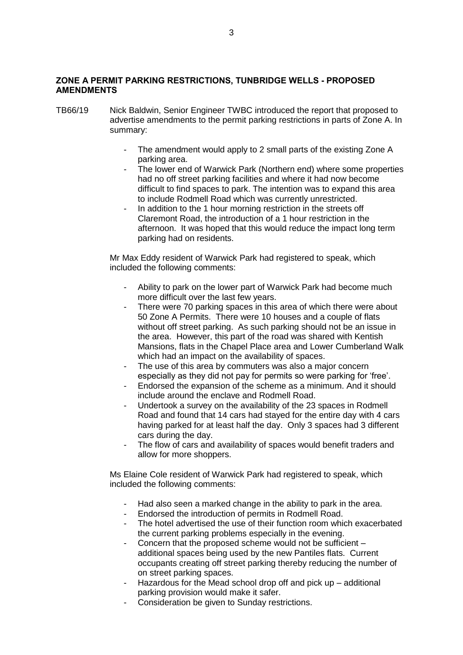# **ZONE A PERMIT PARKING RESTRICTIONS, TUNBRIDGE WELLS - PROPOSED AMENDMENTS**

- TB66/19 Nick Baldwin, Senior Engineer TWBC introduced the report that proposed to advertise amendments to the permit parking restrictions in parts of Zone A. In summary:
	- The amendment would apply to 2 small parts of the existing Zone A parking area.
	- The lower end of Warwick Park (Northern end) where some properties had no off street parking facilities and where it had now become difficult to find spaces to park. The intention was to expand this area to include Rodmell Road which was currently unrestricted.
	- In addition to the 1 hour morning restriction in the streets off Claremont Road, the introduction of a 1 hour restriction in the afternoon. It was hoped that this would reduce the impact long term parking had on residents.

Mr Max Eddy resident of Warwick Park had registered to speak, which included the following comments:

- Ability to park on the lower part of Warwick Park had become much more difficult over the last few years.
- There were 70 parking spaces in this area of which there were about 50 Zone A Permits. There were 10 houses and a couple of flats without off street parking. As such parking should not be an issue in the area. However, this part of the road was shared with Kentish Mansions, flats in the Chapel Place area and Lower Cumberland Walk which had an impact on the availability of spaces.
- The use of this area by commuters was also a major concern especially as they did not pay for permits so were parking for 'free'.
- Endorsed the expansion of the scheme as a minimum. And it should include around the enclave and Rodmell Road.
- Undertook a survey on the availability of the 23 spaces in Rodmell Road and found that 14 cars had stayed for the entire day with 4 cars having parked for at least half the day. Only 3 spaces had 3 different cars during the day.
- The flow of cars and availability of spaces would benefit traders and allow for more shoppers.

Ms Elaine Cole resident of Warwick Park had registered to speak, which included the following comments:

- Had also seen a marked change in the ability to park in the area.
- Endorsed the introduction of permits in Rodmell Road.
- The hotel advertised the use of their function room which exacerbated the current parking problems especially in the evening.
- Concern that the proposed scheme would not be sufficient additional spaces being used by the new Pantiles flats. Current occupants creating off street parking thereby reducing the number of on street parking spaces.
- Hazardous for the Mead school drop off and pick up additional parking provision would make it safer.
- Consideration be given to Sunday restrictions.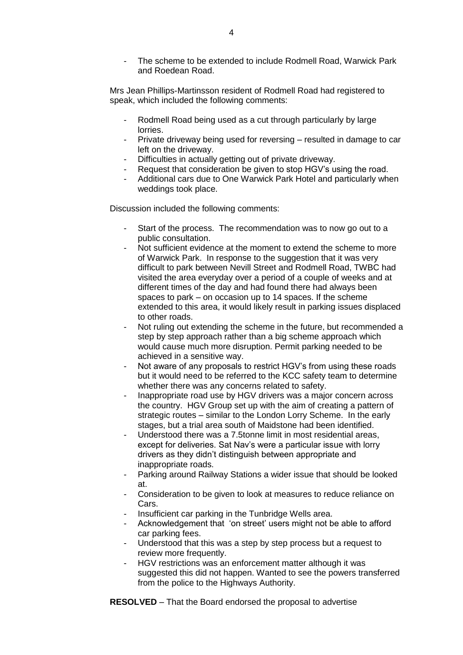The scheme to be extended to include Rodmell Road, Warwick Park and Roedean Road.

Mrs Jean Phillips-Martinsson resident of Rodmell Road had registered to speak, which included the following comments:

- Rodmell Road being used as a cut through particularly by large lorries.
- Private driveway being used for reversing resulted in damage to car left on the driveway.
- Difficulties in actually getting out of private driveway.
- Request that consideration be given to stop HGV's using the road.
- Additional cars due to One Warwick Park Hotel and particularly when weddings took place.

Discussion included the following comments:

- Start of the process. The recommendation was to now go out to a public consultation.
- Not sufficient evidence at the moment to extend the scheme to more of Warwick Park. In response to the suggestion that it was very difficult to park between Nevill Street and Rodmell Road, TWBC had visited the area everyday over a period of a couple of weeks and at different times of the day and had found there had always been spaces to park – on occasion up to 14 spaces. If the scheme extended to this area, it would likely result in parking issues displaced to other roads.
- Not ruling out extending the scheme in the future, but recommended a step by step approach rather than a big scheme approach which would cause much more disruption. Permit parking needed to be achieved in a sensitive way.
- Not aware of any proposals to restrict HGV's from using these roads but it would need to be referred to the KCC safety team to determine whether there was any concerns related to safety.
- Inappropriate road use by HGV drivers was a major concern across the country. HGV Group set up with the aim of creating a pattern of strategic routes – similar to the London Lorry Scheme. In the early stages, but a trial area south of Maidstone had been identified.
- Understood there was a 7.5tonne limit in most residential areas, except for deliveries. Sat Nav's were a particular issue with lorry drivers as they didn't distinguish between appropriate and inappropriate roads.
- Parking around Railway Stations a wider issue that should be looked at.
- Consideration to be given to look at measures to reduce reliance on Cars.
- Insufficient car parking in the Tunbridge Wells area.
- Acknowledgement that 'on street' users might not be able to afford car parking fees.
- Understood that this was a step by step process but a request to review more frequently.
- HGV restrictions was an enforcement matter although it was suggested this did not happen. Wanted to see the powers transferred from the police to the Highways Authority.

**RESOLVED** – That the Board endorsed the proposal to advertise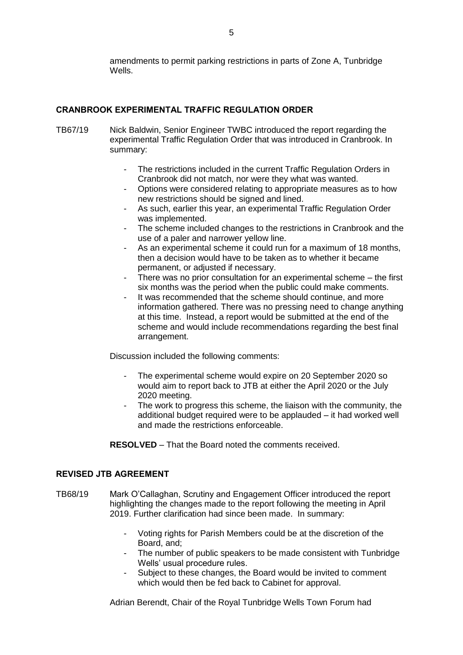amendments to permit parking restrictions in parts of Zone A, Tunbridge Wells.

# **CRANBROOK EXPERIMENTAL TRAFFIC REGULATION ORDER**

- TB67/19 Nick Baldwin, Senior Engineer TWBC introduced the report regarding the experimental Traffic Regulation Order that was introduced in Cranbrook. In summary:
	- The restrictions included in the current Traffic Regulation Orders in Cranbrook did not match, nor were they what was wanted.
	- Options were considered relating to appropriate measures as to how new restrictions should be signed and lined.
	- As such, earlier this year, an experimental Traffic Regulation Order was implemented.
	- The scheme included changes to the restrictions in Cranbrook and the use of a paler and narrower yellow line.
	- As an experimental scheme it could run for a maximum of 18 months, then a decision would have to be taken as to whether it became permanent, or adjusted if necessary.
	- There was no prior consultation for an experimental scheme the first six months was the period when the public could make comments.
	- It was recommended that the scheme should continue, and more information gathered. There was no pressing need to change anything at this time. Instead, a report would be submitted at the end of the scheme and would include recommendations regarding the best final arrangement.

Discussion included the following comments:

- The experimental scheme would expire on 20 September 2020 so would aim to report back to JTB at either the April 2020 or the July 2020 meeting.
- The work to progress this scheme, the liaison with the community, the additional budget required were to be applauded – it had worked well and made the restrictions enforceable.

**RESOLVED** – That the Board noted the comments received.

# **REVISED JTB AGREEMENT**

- TB68/19 Mark O'Callaghan, Scrutiny and Engagement Officer introduced the report highlighting the changes made to the report following the meeting in April 2019. Further clarification had since been made. In summary:
	- Voting rights for Parish Members could be at the discretion of the Board, and;
	- The number of public speakers to be made consistent with Tunbridge Wells' usual procedure rules.
	- Subject to these changes, the Board would be invited to comment which would then be fed back to Cabinet for approval.

Adrian Berendt, Chair of the Royal Tunbridge Wells Town Forum had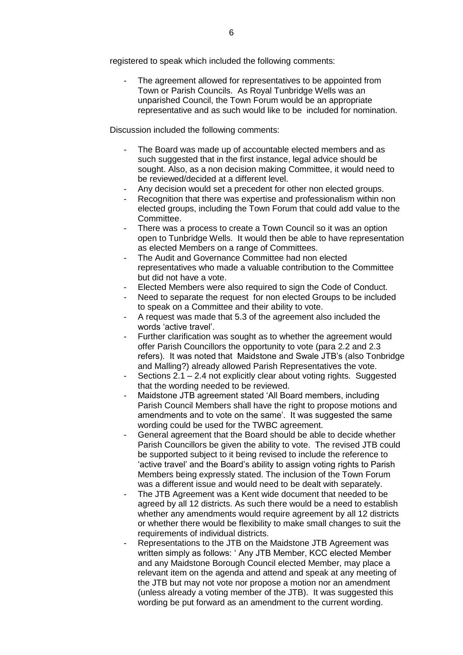registered to speak which included the following comments:

The agreement allowed for representatives to be appointed from Town or Parish Councils. As Royal Tunbridge Wells was an unparished Council, the Town Forum would be an appropriate representative and as such would like to be included for nomination.

Discussion included the following comments:

- The Board was made up of accountable elected members and as such suggested that in the first instance, legal advice should be sought. Also, as a non decision making Committee, it would need to be reviewed/decided at a different level.
- Any decision would set a precedent for other non elected groups.
- Recognition that there was expertise and professionalism within non elected groups, including the Town Forum that could add value to the Committee.
- There was a process to create a Town Council so it was an option open to Tunbridge Wells. It would then be able to have representation as elected Members on a range of Committees.
- The Audit and Governance Committee had non elected representatives who made a valuable contribution to the Committee but did not have a vote.
- Elected Members were also required to sign the Code of Conduct.
- Need to separate the request for non elected Groups to be included to speak on a Committee and their ability to vote.
- A request was made that 5.3 of the agreement also included the words 'active travel'.
- Further clarification was sought as to whether the agreement would offer Parish Councillors the opportunity to vote (para 2.2 and 2.3 refers). It was noted that Maidstone and Swale JTB's (also Tonbridge and Malling?) already allowed Parish Representatives the vote.
- Sections 2.1 2.4 not explicitly clear about voting rights. Suggested that the wording needed to be reviewed.
- Maidstone JTB agreement stated 'All Board members, including Parish Council Members shall have the right to propose motions and amendments and to vote on the same'. It was suggested the same wording could be used for the TWBC agreement.
- General agreement that the Board should be able to decide whether Parish Councillors be given the ability to vote. The revised JTB could be supported subject to it being revised to include the reference to 'active travel' and the Board's ability to assign voting rights to Parish Members being expressly stated. The inclusion of the Town Forum was a different issue and would need to be dealt with separately.
- The JTB Agreement was a Kent wide document that needed to be agreed by all 12 districts. As such there would be a need to establish whether any amendments would require agreement by all 12 districts or whether there would be flexibility to make small changes to suit the requirements of individual districts.
- Representations to the JTB on the Maidstone JTB Agreement was written simply as follows: ' Any JTB Member, KCC elected Member and any Maidstone Borough Council elected Member, may place a relevant item on the agenda and attend and speak at any meeting of the JTB but may not vote nor propose a motion nor an amendment (unless already a voting member of the JTB). It was suggested this wording be put forward as an amendment to the current wording.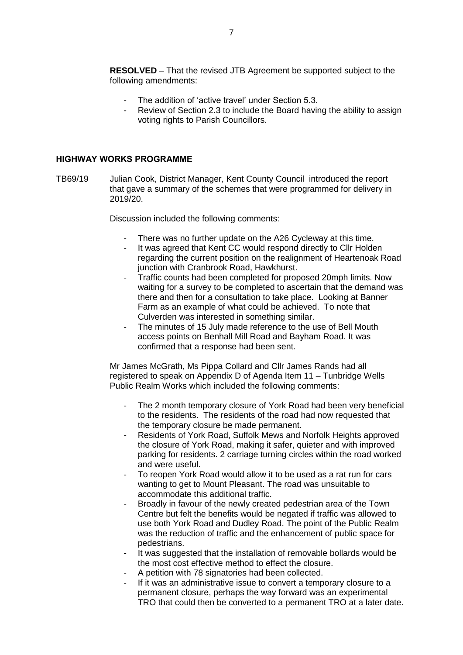**RESOLVED** – That the revised JTB Agreement be supported subject to the following amendments:

- The addition of 'active travel' under Section 5.3.
- Review of Section 2.3 to include the Board having the ability to assign voting rights to Parish Councillors.

#### **HIGHWAY WORKS PROGRAMME**

TB69/19 Julian Cook, District Manager, Kent County Council introduced the report that gave a summary of the schemes that were programmed for delivery in 2019/20.

Discussion included the following comments:

- There was no further update on the A26 Cycleway at this time.
- It was agreed that Kent CC would respond directly to Cllr Holden regarding the current position on the realignment of Heartenoak Road junction with Cranbrook Road, Hawkhurst.
- Traffic counts had been completed for proposed 20mph limits. Now waiting for a survey to be completed to ascertain that the demand was there and then for a consultation to take place. Looking at Banner Farm as an example of what could be achieved. To note that Culverden was interested in something similar.
- The minutes of 15 July made reference to the use of Bell Mouth access points on Benhall Mill Road and Bayham Road. It was confirmed that a response had been sent.

Mr James McGrath, Ms Pippa Collard and Cllr James Rands had all registered to speak on Appendix D of Agenda Item 11 – Tunbridge Wells Public Realm Works which included the following comments:

- The 2 month temporary closure of York Road had been very beneficial to the residents. The residents of the road had now requested that the temporary closure be made permanent.
- Residents of York Road, Suffolk Mews and Norfolk Heights approved the closure of York Road, making it safer, quieter and with improved parking for residents. 2 carriage turning circles within the road worked and were useful.
- To reopen York Road would allow it to be used as a rat run for cars wanting to get to Mount Pleasant. The road was unsuitable to accommodate this additional traffic.
- Broadly in favour of the newly created pedestrian area of the Town Centre but felt the benefits would be negated if traffic was allowed to use both York Road and Dudley Road. The point of the Public Realm was the reduction of traffic and the enhancement of public space for pedestrians.
- It was suggested that the installation of removable bollards would be the most cost effective method to effect the closure.
- A petition with 78 signatories had been collected.
- If it was an administrative issue to convert a temporary closure to a permanent closure, perhaps the way forward was an experimental TRO that could then be converted to a permanent TRO at a later date.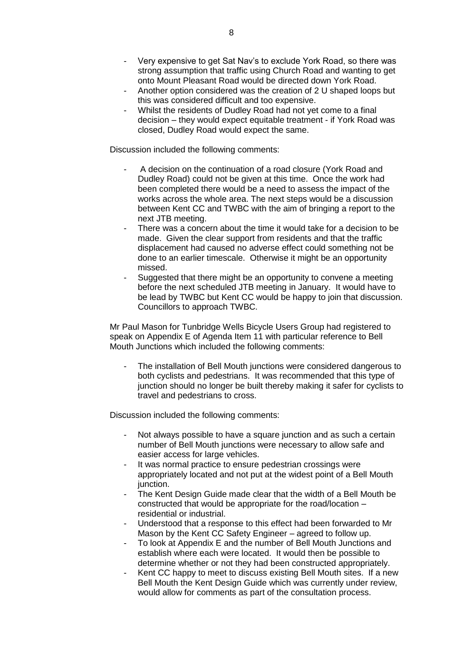- Very expensive to get Sat Nav's to exclude York Road, so there was strong assumption that traffic using Church Road and wanting to get onto Mount Pleasant Road would be directed down York Road.
- Another option considered was the creation of 2 U shaped loops but this was considered difficult and too expensive.
- Whilst the residents of Dudley Road had not yet come to a final decision – they would expect equitable treatment - if York Road was closed, Dudley Road would expect the same.

Discussion included the following comments:

- A decision on the continuation of a road closure (York Road and Dudley Road) could not be given at this time. Once the work had been completed there would be a need to assess the impact of the works across the whole area. The next steps would be a discussion between Kent CC and TWBC with the aim of bringing a report to the next JTB meeting.
- There was a concern about the time it would take for a decision to be made. Given the clear support from residents and that the traffic displacement had caused no adverse effect could something not be done to an earlier timescale. Otherwise it might be an opportunity missed.
- Suggested that there might be an opportunity to convene a meeting before the next scheduled JTB meeting in January. It would have to be lead by TWBC but Kent CC would be happy to join that discussion. Councillors to approach TWBC.

Mr Paul Mason for Tunbridge Wells Bicycle Users Group had registered to speak on Appendix E of Agenda Item 11 with particular reference to Bell Mouth Junctions which included the following comments:

The installation of Bell Mouth junctions were considered dangerous to both cyclists and pedestrians. It was recommended that this type of junction should no longer be built thereby making it safer for cyclists to travel and pedestrians to cross.

Discussion included the following comments:

- Not always possible to have a square junction and as such a certain number of Bell Mouth junctions were necessary to allow safe and easier access for large vehicles.
- It was normal practice to ensure pedestrian crossings were appropriately located and not put at the widest point of a Bell Mouth junction.
- The Kent Design Guide made clear that the width of a Bell Mouth be constructed that would be appropriate for the road/location – residential or industrial.
- Understood that a response to this effect had been forwarded to Mr Mason by the Kent CC Safety Engineer – agreed to follow up.
- To look at Appendix E and the number of Bell Mouth Junctions and establish where each were located. It would then be possible to determine whether or not they had been constructed appropriately.
- Kent CC happy to meet to discuss existing Bell Mouth sites. If a new Bell Mouth the Kent Design Guide which was currently under review, would allow for comments as part of the consultation process.